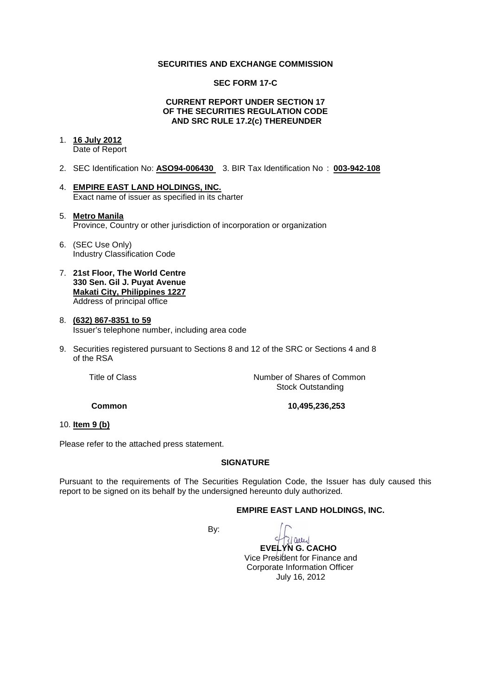# **SECURITIES AND EXCHANGE COMMISSION**

#### **SEC FORM 17-C**

#### **CURRENT REPORT UNDER SECTION 17 OF THE SECURITIES REGULATION CODE AND SRC RULE 17.2(c) THEREUNDER**

# 1. **16 July 2012**

Date of Report

- 2. SEC Identification No: **ASO94-006430** 3. BIR Tax Identification No : **003-942-108**
- 4. **EMPIRE EAST LAND HOLDINGS, INC.** Exact name of issuer as specified in its charter
- 5. **Metro Manila** Province, Country or other jurisdiction of incorporation or organization
- 6. (SEC Use Only) Industry Classification Code
- 7. **21st Floor, The World Centre 330 Sen. Gil J. Puyat Avenue Makati City, Philippines 1227** Address of principal office

## 8. **(632) 867-8351 to 59** Issuer's telephone number, including area code

9. Securities registered pursuant to Sections 8 and 12 of the SRC or Sections 4 and 8 of the RSA

Title of Class **Number of Shares of Common** Stock Outstanding

**Common 10,495,236,253** 

# 10. **Item 9 (b)**

Please refer to the attached press statement.

#### **SIGNATURE**

Pursuant to the requirements of The Securities Regulation Code, the Issuer has duly caused this report to be signed on its behalf by the undersigned hereunto duly authorized.

# **EMPIRE EAST LAND HOLDINGS, INC.**

By:



 **EVELYN G. CACHO** Vice President for Finance and Corporate Information Officer July 16, 2012